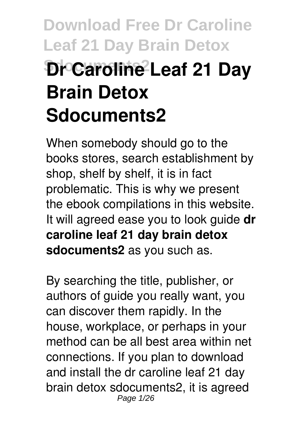# **Download Free Dr Caroline Leaf 21 Day Brain Detox Dr Caroline Leaf 21 Day Brain Detox Sdocuments2**

When somebody should go to the books stores, search establishment by shop, shelf by shelf, it is in fact problematic. This is why we present the ebook compilations in this website. It will agreed ease you to look guide **dr caroline leaf 21 day brain detox sdocuments2** as you such as.

By searching the title, publisher, or authors of guide you really want, you can discover them rapidly. In the house, workplace, or perhaps in your method can be all best area within net connections. If you plan to download and install the dr caroline leaf 21 day brain detox sdocuments2, it is agreed Page 1/26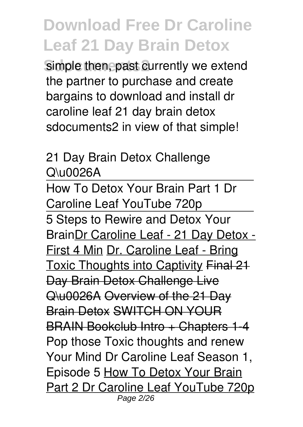simple then, past currently we extend the partner to purchase and create bargains to download and install dr caroline leaf 21 day brain detox sdocuments2 in view of that simple!

#### 21 Day Brain Detox Challenge Q\u0026A

How To Detox Your Brain Part 1 Dr Caroline Leaf YouTube 720p 5 Steps to Rewire and Detox Your BrainDr Caroline Leaf - 21 Day Detox - First 4 Min Dr. Caroline Leaf - Bring Toxic Thoughts into Captivity Final 21 Day Brain Detox Challenge Live Q\u0026A Overview of the 21 Day Brain Detox SWITCH ON YOUR BRAIN Bookclub Intro + Chapters 1-4 Pop those Toxic thoughts and renew Your Mind Dr Caroline Leaf Season 1, Episode 5 How To Detox Your Brain Part 2 Dr Caroline Leaf YouTube 720p Page 2/26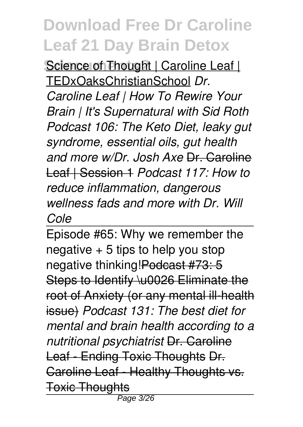Science of Thought | Caroline Leaf | TEDxOaksChristianSchool *Dr. Caroline Leaf | How To Rewire Your Brain | It's Supernatural with Sid Roth Podcast 106: The Keto Diet, leaky gut syndrome, essential oils, gut health and more w/Dr. Josh Axe* Dr. Caroline Leaf | Session 1 *Podcast 117: How to reduce inflammation, dangerous wellness fads and more with Dr. Will Cole*

Episode #65: Why we remember the negative  $+5$  tips to help you stop negative thinking! Podcast #73: 5 Steps to Identify \u0026 Eliminate the root of Anxiety (or any mental ill-health issue) *Podcast 131: The best diet for mental and brain health according to a nutritional psychiatrist* Dr. Caroline Leaf - Ending Toxic Thoughts Dr. Caroline Leaf - Healthy Thoughts vs. Toxic Thoughts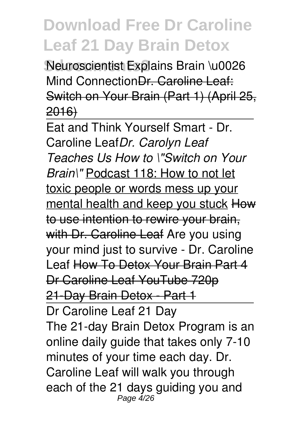**Neuroscientist Explains Brain \u0026** Mind ConnectionDr. Caroline Leaf: Switch on Your Brain (Part 1) (April 25, 2016)

Eat and Think Yourself Smart - Dr. Caroline Leaf*Dr. Carolyn Leaf Teaches Us How to \"Switch on Your Brain\"* Podcast 118: How to not let toxic people or words mess up your mental health and keep you stuck How to use intention to rewire your brain, with Dr. Caroline Leaf Are you using your mind just to survive - Dr. Caroline Leaf How To Detox Your Brain Part 4 Dr Caroline Leaf YouTube 720p 21-Day Brain Detox - Part 1 Dr Caroline Leaf 21 Day The 21-day Brain Detox Program is an online daily guide that takes only 7-10 minutes of your time each day. Dr. Caroline Leaf will walk you through each of the 21 days guiding you and

Page  $4/26$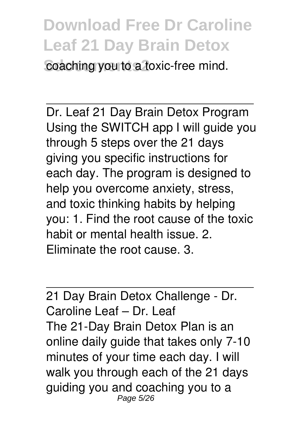**Coaching you to a toxic-free mind.** 

Dr. Leaf 21 Day Brain Detox Program Using the SWITCH app I will guide you through 5 steps over the 21 days giving you specific instructions for each day. The program is designed to help you overcome anxiety, stress, and toxic thinking habits by helping you: 1. Find the root cause of the toxic habit or mental health issue. 2. Eliminate the root cause. 3.

21 Day Brain Detox Challenge - Dr. Caroline Leaf – Dr. Leaf The 21-Day Brain Detox Plan is an online daily guide that takes only 7-10 minutes of your time each day. I will walk you through each of the 21 days guiding you and coaching you to a Page 5/26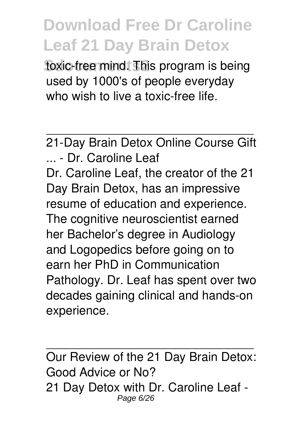toxic-free mind. This program is being used by 1000's of people everyday who wish to live a toxic-free life.

21-Day Brain Detox Online Course Gift ... - Dr. Caroline Leaf Dr. Caroline Leaf, the creator of the 21 Day Brain Detox, has an impressive resume of education and experience. The cognitive neuroscientist earned her Bachelor's degree in Audiology and Logopedics before going on to earn her PhD in Communication Pathology. Dr. Leaf has spent over two decades gaining clinical and hands-on experience.

Our Review of the 21 Day Brain Detox: Good Advice or No? 21 Day Detox with Dr. Caroline Leaf - Page 6/26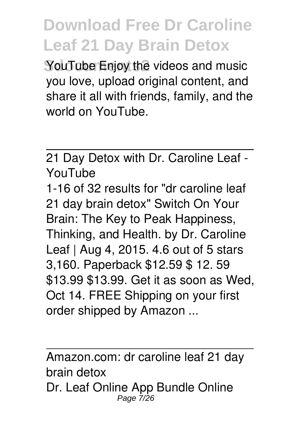**YouTube Enjoy the videos and music** you love, upload original content, and share it all with friends, family, and the world on YouTube.

21 Day Detox with Dr. Caroline Leaf - YouTube

1-16 of 32 results for "dr caroline leaf 21 day brain detox" Switch On Your Brain: The Key to Peak Happiness, Thinking, and Health. by Dr. Caroline Leaf | Aug 4, 2015. 4.6 out of 5 stars 3,160. Paperback \$12.59 \$ 12. 59 \$13.99 \$13.99. Get it as soon as Wed, Oct 14. FREE Shipping on your first order shipped by Amazon ...

Amazon.com: dr caroline leaf 21 day brain detox Dr. Leaf Online App Bundle Online Page 7/26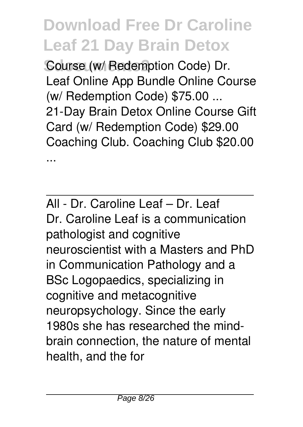**Course (w/ Redemption Code) Dr.** Leaf Online App Bundle Online Course (w/ Redemption Code) \$75.00 ... 21-Day Brain Detox Online Course Gift Card (w/ Redemption Code) \$29.00 Coaching Club. Coaching Club \$20.00 ...

All - Dr. Caroline Leaf – Dr. Leaf Dr. Caroline Leaf is a communication pathologist and cognitive neuroscientist with a Masters and PhD in Communication Pathology and a BSc Logopaedics, specializing in cognitive and metacognitive neuropsychology. Since the early 1980s she has researched the mindbrain connection, the nature of mental health, and the for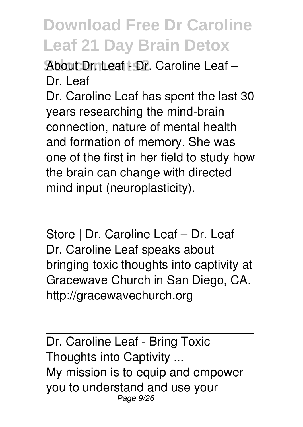**About DrnLeaf - Dr. Caroline Leaf –** Dr. Leaf

Dr. Caroline Leaf has spent the last 30 years researching the mind-brain connection, nature of mental health and formation of memory. She was one of the first in her field to study how the brain can change with directed mind input (neuroplasticity).

Store | Dr. Caroline Leaf – Dr. Leaf Dr. Caroline Leaf speaks about bringing toxic thoughts into captivity at Gracewave Church in San Diego, CA. http://gracewavechurch.org

Dr. Caroline Leaf - Bring Toxic Thoughts into Captivity ... My mission is to equip and empower you to understand and use your Page 9/26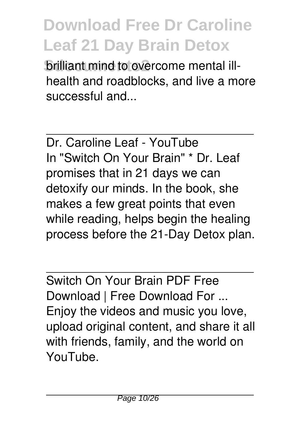**Brilliant mind to overcome mental ill**health and roadblocks, and live a more successful and...

Dr. Caroline Leaf - YouTube In "Switch On Your Brain" \* Dr. Leaf promises that in 21 days we can detoxify our minds. In the book, she makes a few great points that even while reading, helps begin the healing process before the 21-Day Detox plan.

Switch On Your Brain PDF Free Download | Free Download For ... Enjoy the videos and music you love, upload original content, and share it all with friends, family, and the world on YouTube.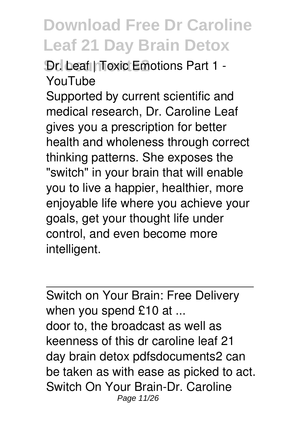**Dr.** Leaf | Toxic Emotions Part 1 -YouTube

Supported by current scientific and medical research, Dr. Caroline Leaf gives you a prescription for better health and wholeness through correct thinking patterns. She exposes the "switch" in your brain that will enable you to live a happier, healthier, more enjoyable life where you achieve your goals, get your thought life under control, and even become more intelligent.

Switch on Your Brain: Free Delivery when you spend £10 at ... door to, the broadcast as well as keenness of this dr caroline leaf 21 day brain detox pdfsdocuments2 can be taken as with ease as picked to act. Switch On Your Brain-Dr. Caroline Page 11/26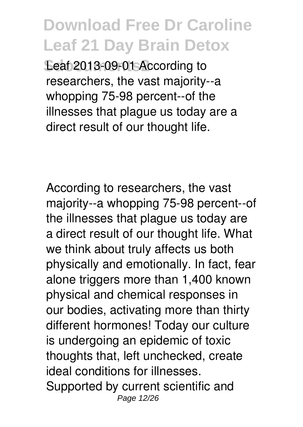Leaf 2013-09-01 According to researchers, the vast majority--a whopping 75-98 percent--of the illnesses that plague us today are a direct result of our thought life.

According to researchers, the vast majority--a whopping 75-98 percent--of the illnesses that plague us today are a direct result of our thought life. What we think about truly affects us both physically and emotionally. In fact, fear alone triggers more than 1,400 known physical and chemical responses in our bodies, activating more than thirty different hormones! Today our culture is undergoing an epidemic of toxic thoughts that, left unchecked, create ideal conditions for illnesses. Supported by current scientific and Page 12/26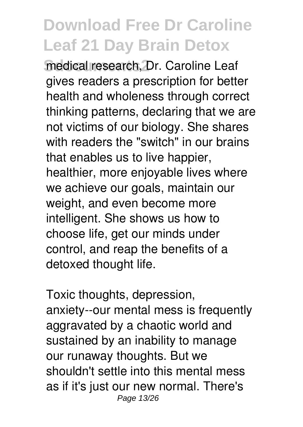medical research, Dr. Caroline Leaf gives readers a prescription for better health and wholeness through correct thinking patterns, declaring that we are not victims of our biology. She shares with readers the "switch" in our brains that enables us to live happier, healthier, more enjoyable lives where we achieve our goals, maintain our weight, and even become more intelligent. She shows us how to choose life, get our minds under control, and reap the benefits of a detoxed thought life.

Toxic thoughts, depression, anxiety--our mental mess is frequently aggravated by a chaotic world and sustained by an inability to manage our runaway thoughts. But we shouldn't settle into this mental mess as if it's just our new normal. There's Page 13/26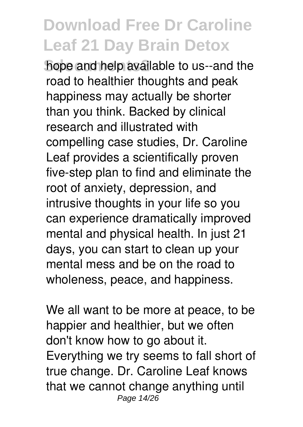**Sdocuments2** hope and help available to us--and the road to healthier thoughts and peak happiness may actually be shorter than you think. Backed by clinical research and illustrated with compelling case studies, Dr. Caroline Leaf provides a scientifically proven five-step plan to find and eliminate the root of anxiety, depression, and intrusive thoughts in your life so you can experience dramatically improved mental and physical health. In just 21 days, you can start to clean up your mental mess and be on the road to wholeness, peace, and happiness.

We all want to be more at peace, to be happier and healthier, but we often don't know how to go about it. Everything we try seems to fall short of true change. Dr. Caroline Leaf knows that we cannot change anything until Page 14/26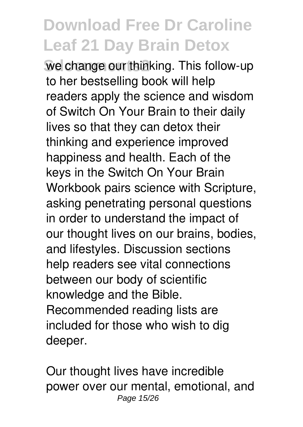we change our thinking. This follow-up to her bestselling book will help readers apply the science and wisdom of Switch On Your Brain to their daily lives so that they can detox their thinking and experience improved happiness and health. Each of the keys in the Switch On Your Brain Workbook pairs science with Scripture, asking penetrating personal questions in order to understand the impact of our thought lives on our brains, bodies, and lifestyles. Discussion sections help readers see vital connections between our body of scientific knowledge and the Bible. Recommended reading lists are included for those who wish to dig deeper.

Our thought lives have incredible power over our mental, emotional, and Page 15/26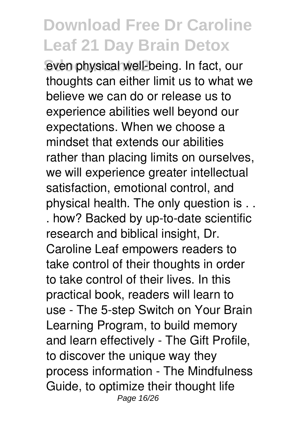even physical well-being. In fact, our thoughts can either limit us to what we believe we can do or release us to experience abilities well beyond our expectations. When we choose a mindset that extends our abilities rather than placing limits on ourselves, we will experience greater intellectual satisfaction, emotional control, and physical health. The only question is . . . how? Backed by up-to-date scientific research and biblical insight, Dr. Caroline Leaf empowers readers to take control of their thoughts in order to take control of their lives. In this practical book, readers will learn to use - The 5-step Switch on Your Brain Learning Program, to build memory and learn effectively - The Gift Profile, to discover the unique way they process information - The Mindfulness Guide, to optimize their thought life Page 16/26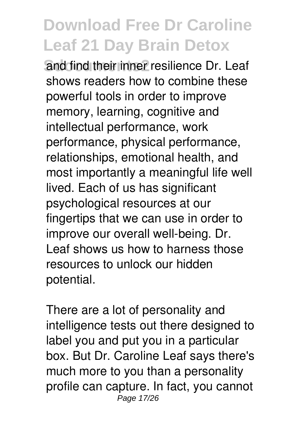**Sand find their inner resilience Dr. Leaf** shows readers how to combine these powerful tools in order to improve memory, learning, cognitive and intellectual performance, work performance, physical performance, relationships, emotional health, and most importantly a meaningful life well lived. Each of us has significant psychological resources at our fingertips that we can use in order to improve our overall well-being. Dr. Leaf shows us how to harness those resources to unlock our hidden potential.

There are a lot of personality and intelligence tests out there designed to label you and put you in a particular box. But Dr. Caroline Leaf says there's much more to you than a personality profile can capture. In fact, you cannot Page 17/26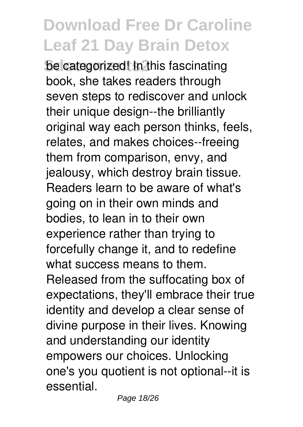be categorized! In this fascinating book, she takes readers through seven steps to rediscover and unlock their unique design--the brilliantly original way each person thinks, feels, relates, and makes choices--freeing them from comparison, envy, and jealousy, which destroy brain tissue. Readers learn to be aware of what's going on in their own minds and bodies, to lean in to their own experience rather than trying to forcefully change it, and to redefine what success means to them. Released from the suffocating box of expectations, they'll embrace their true identity and develop a clear sense of divine purpose in their lives. Knowing and understanding our identity empowers our choices. Unlocking one's you quotient is not optional--it is essential.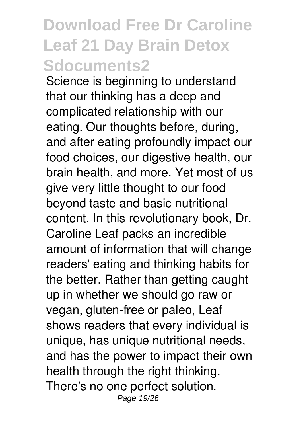Science is beginning to understand that our thinking has a deep and complicated relationship with our eating. Our thoughts before, during, and after eating profoundly impact our food choices, our digestive health, our brain health, and more. Yet most of us give very little thought to our food beyond taste and basic nutritional content. In this revolutionary book, Dr. Caroline Leaf packs an incredible amount of information that will change readers' eating and thinking habits for the better. Rather than getting caught up in whether we should go raw or vegan, gluten-free or paleo, Leaf shows readers that every individual is unique, has unique nutritional needs, and has the power to impact their own health through the right thinking. There's no one perfect solution. Page 19/26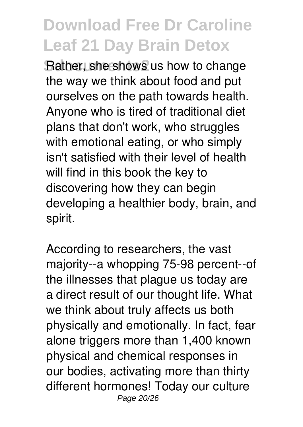**Rather, she shows us how to change** the way we think about food and put ourselves on the path towards health. Anyone who is tired of traditional diet plans that don't work, who struggles with emotional eating, or who simply isn't satisfied with their level of health will find in this book the key to discovering how they can begin developing a healthier body, brain, and spirit.

According to researchers, the vast majority--a whopping 75-98 percent--of the illnesses that plague us today are a direct result of our thought life. What we think about truly affects us both physically and emotionally. In fact, fear alone triggers more than 1,400 known physical and chemical responses in our bodies, activating more than thirty different hormones! Today our culture Page 20/26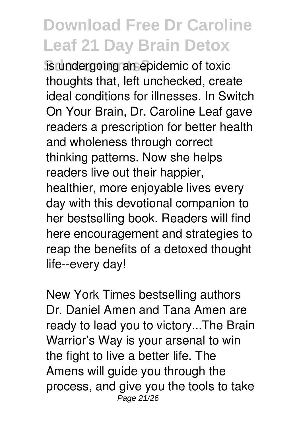**is undergoing an epidemic of toxic** thoughts that, left unchecked, create ideal conditions for illnesses. In Switch On Your Brain, Dr. Caroline Leaf gave readers a prescription for better health and wholeness through correct thinking patterns. Now she helps readers live out their happier, healthier, more enjoyable lives every day with this devotional companion to her bestselling book. Readers will find here encouragement and strategies to reap the benefits of a detoxed thought life--every day!

New York Times bestselling authors Dr. Daniel Amen and Tana Amen are ready to lead you to victory...The Brain Warrior's Way is your arsenal to win the fight to live a better life. The Amens will guide you through the process, and give you the tools to take Page 21/26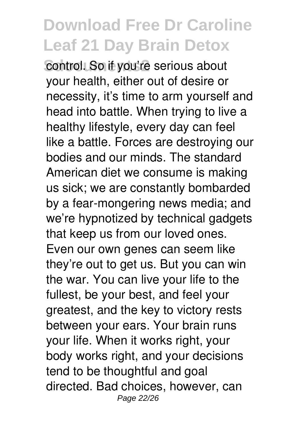**Control. So if you're serious about** your health, either out of desire or necessity, it's time to arm yourself and head into battle. When trying to live a healthy lifestyle, every day can feel like a battle. Forces are destroying our bodies and our minds. The standard American diet we consume is making us sick; we are constantly bombarded by a fear-mongering news media; and we're hypnotized by technical gadgets that keep us from our loved ones. Even our own genes can seem like they're out to get us. But you can win the war. You can live your life to the fullest, be your best, and feel your greatest, and the key to victory rests between your ears. Your brain runs your life. When it works right, your body works right, and your decisions tend to be thoughtful and goal directed. Bad choices, however, can Page 22/26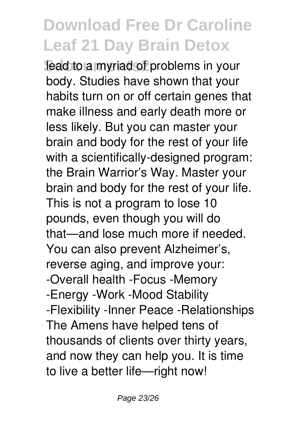lead to a myriad of problems in your body. Studies have shown that your habits turn on or off certain genes that make illness and early death more or less likely. But you can master your brain and body for the rest of your life with a scientifically-designed program: the Brain Warrior's Way. Master your brain and body for the rest of your life. This is not a program to lose 10 pounds, even though you will do that—and lose much more if needed. You can also prevent Alzheimer's, reverse aging, and improve your: -Overall health -Focus -Memory -Energy -Work -Mood Stability -Flexibility -Inner Peace -Relationships The Amens have helped tens of thousands of clients over thirty years, and now they can help you. It is time to live a better life—right now!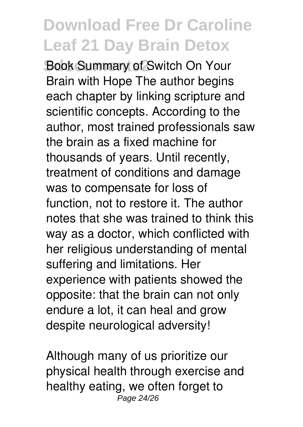**Book Summary of Switch On Your** Brain with Hope The author begins each chapter by linking scripture and scientific concepts. According to the author, most trained professionals saw the brain as a fixed machine for thousands of years. Until recently, treatment of conditions and damage was to compensate for loss of function, not to restore it. The author notes that she was trained to think this way as a doctor, which conflicted with her religious understanding of mental suffering and limitations. Her experience with patients showed the opposite: that the brain can not only endure a lot, it can heal and grow despite neurological adversity!

Although many of us prioritize our physical health through exercise and healthy eating, we often forget to Page 24/26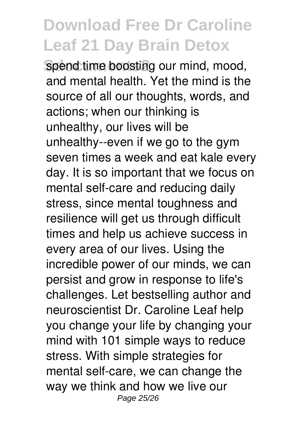spend time boosting our mind, mood, and mental health. Yet the mind is the source of all our thoughts, words, and actions; when our thinking is unhealthy, our lives will be unhealthy--even if we go to the gym seven times a week and eat kale every day. It is so important that we focus on mental self-care and reducing daily stress, since mental toughness and resilience will get us through difficult times and help us achieve success in every area of our lives. Using the incredible power of our minds, we can persist and grow in response to life's challenges. Let bestselling author and neuroscientist Dr. Caroline Leaf help you change your life by changing your mind with 101 simple ways to reduce stress. With simple strategies for mental self-care, we can change the way we think and how we live our Page 25/26